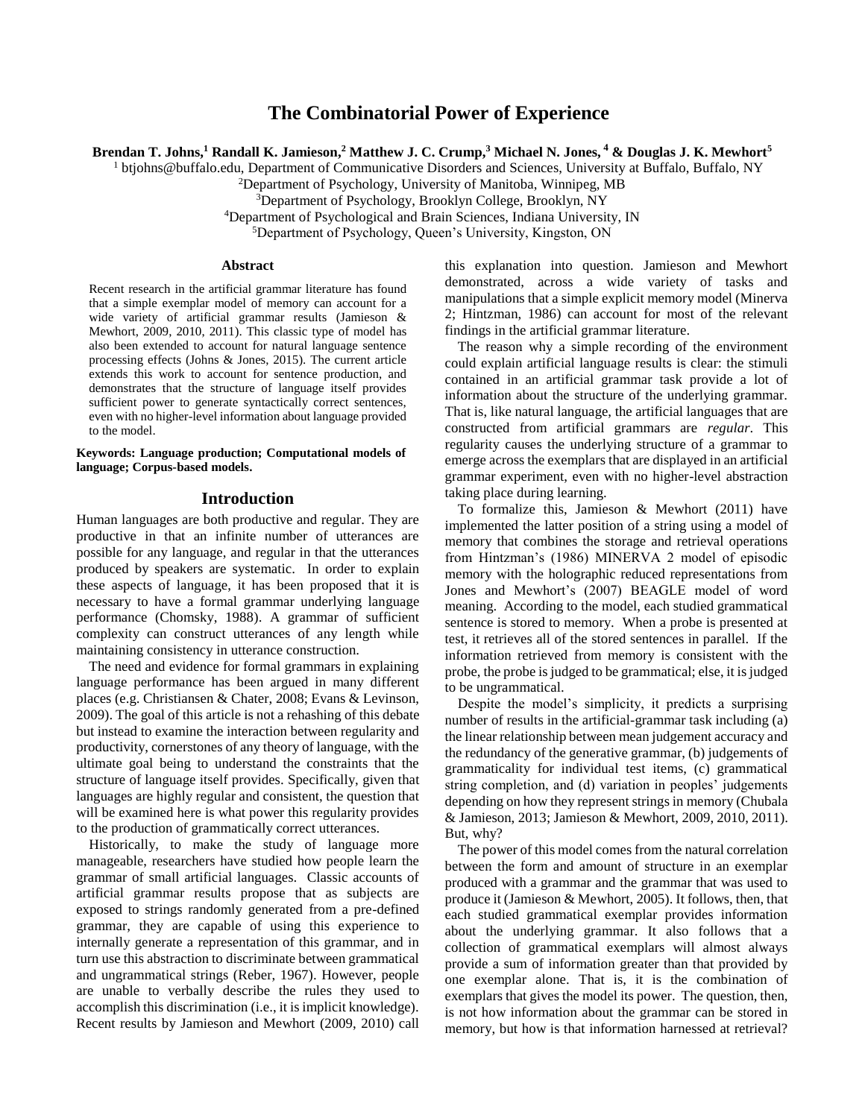# **The Combinatorial Power of Experience**

**Brendan T. Johns, <sup>1</sup> Randall K. Jamieson, <sup>2</sup> Matthew J. C. Crump,<sup>3</sup> Michael N. Jones, <sup>4</sup> & Douglas J. K. Mewhort<sup>5</sup>**

<sup>1</sup> btjohns@buffalo.edu, Department of Communicative Disorders and Sciences, University at Buffalo, Buffalo, NY

<sup>2</sup>Department of Psychology, University of Manitoba, Winnipeg, MB

<sup>3</sup>Department of Psychology, Brooklyn College, Brooklyn, NY

<sup>4</sup>Department of Psychological and Brain Sciences, Indiana University, IN

<sup>5</sup>Department of Psychology, Queen's University, Kingston, ON

#### **Abstract**

Recent research in the artificial grammar literature has found that a simple exemplar model of memory can account for a wide variety of artificial grammar results (Jamieson & Mewhort, 2009, 2010, 2011). This classic type of model has also been extended to account for natural language sentence processing effects (Johns & Jones, 2015). The current article extends this work to account for sentence production, and demonstrates that the structure of language itself provides sufficient power to generate syntactically correct sentences, even with no higher-level information about language provided to the model.

**Keywords: Language production; Computational models of language; Corpus-based models.**

### **Introduction**

Human languages are both productive and regular. They are productive in that an infinite number of utterances are possible for any language, and regular in that the utterances produced by speakers are systematic. In order to explain these aspects of language, it has been proposed that it is necessary to have a formal grammar underlying language performance (Chomsky, 1988). A grammar of sufficient complexity can construct utterances of any length while maintaining consistency in utterance construction.

The need and evidence for formal grammars in explaining language performance has been argued in many different places (e.g. Christiansen & Chater, 2008; Evans & Levinson, 2009). The goal of this article is not a rehashing of this debate but instead to examine the interaction between regularity and productivity, cornerstones of any theory of language, with the ultimate goal being to understand the constraints that the structure of language itself provides. Specifically, given that languages are highly regular and consistent, the question that will be examined here is what power this regularity provides to the production of grammatically correct utterances.

Historically, to make the study of language more manageable, researchers have studied how people learn the grammar of small artificial languages. Classic accounts of artificial grammar results propose that as subjects are exposed to strings randomly generated from a pre-defined grammar, they are capable of using this experience to internally generate a representation of this grammar, and in turn use this abstraction to discriminate between grammatical and ungrammatical strings (Reber, 1967). However, people are unable to verbally describe the rules they used to accomplish this discrimination (i.e., it is implicit knowledge). Recent results by Jamieson and Mewhort (2009, 2010) call this explanation into question. Jamieson and Mewhort demonstrated, across a wide variety of tasks and manipulations that a simple explicit memory model (Minerva 2; Hintzman, 1986) can account for most of the relevant findings in the artificial grammar literature.

The reason why a simple recording of the environment could explain artificial language results is clear: the stimuli contained in an artificial grammar task provide a lot of information about the structure of the underlying grammar. That is, like natural language, the artificial languages that are constructed from artificial grammars are *regular*. This regularity causes the underlying structure of a grammar to emerge across the exemplars that are displayed in an artificial grammar experiment, even with no higher-level abstraction taking place during learning.

To formalize this, Jamieson & Mewhort (2011) have implemented the latter position of a string using a model of memory that combines the storage and retrieval operations from Hintzman's (1986) MINERVA 2 model of episodic memory with the holographic reduced representations from Jones and Mewhort's (2007) BEAGLE model of word meaning. According to the model, each studied grammatical sentence is stored to memory. When a probe is presented at test, it retrieves all of the stored sentences in parallel. If the information retrieved from memory is consistent with the probe, the probe is judged to be grammatical; else, it is judged to be ungrammatical.

Despite the model's simplicity, it predicts a surprising number of results in the artificial-grammar task including (a) the linear relationship between mean judgement accuracy and the redundancy of the generative grammar, (b) judgements of grammaticality for individual test items, (c) grammatical string completion, and (d) variation in peoples' judgements depending on how they represent strings in memory (Chubala & Jamieson, 2013; Jamieson & Mewhort, 2009, 2010, 2011). But, why?

The power of this model comes from the natural correlation between the form and amount of structure in an exemplar produced with a grammar and the grammar that was used to produce it (Jamieson & Mewhort, 2005). It follows, then, that each studied grammatical exemplar provides information about the underlying grammar. It also follows that a collection of grammatical exemplars will almost always provide a sum of information greater than that provided by one exemplar alone. That is, it is the combination of exemplars that gives the model its power. The question, then, is not how information about the grammar can be stored in memory, but how is that information harnessed at retrieval?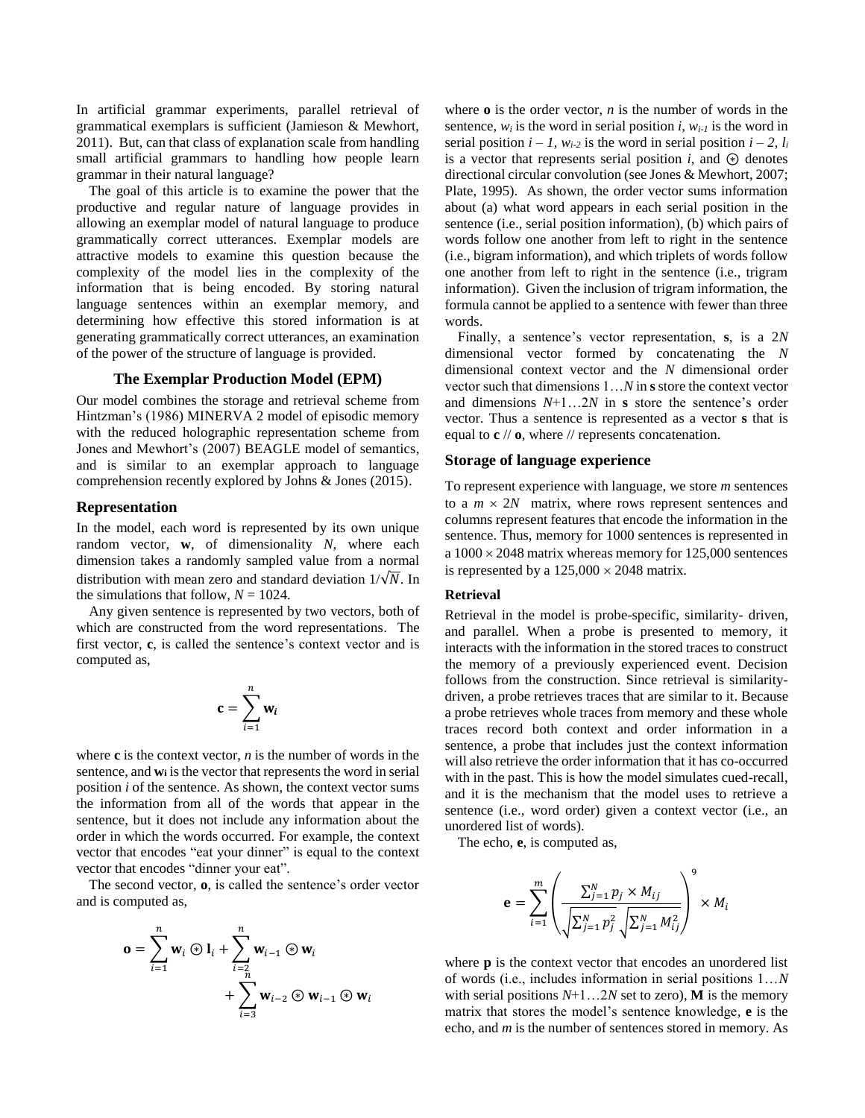In artificial grammar experiments, parallel retrieval of grammatical exemplars is sufficient (Jamieson & Mewhort, 2011). But, can that class of explanation scale from handling small artificial grammars to handling how people learn grammar in their natural language?

The goal of this article is to examine the power that the productive and regular nature of language provides in allowing an exemplar model of natural language to produce grammatically correct utterances. Exemplar models are attractive models to examine this question because the complexity of the model lies in the complexity of the information that is being encoded. By storing natural language sentences within an exemplar memory, and determining how effective this stored information is at generating grammatically correct utterances, an examination of the power of the structure of language is provided.

## **The Exemplar Production Model (EPM)**

Our model combines the storage and retrieval scheme from Hintzman's (1986) MINERVA 2 model of episodic memory with the reduced holographic representation scheme from Jones and Mewhort's (2007) BEAGLE model of semantics, and is similar to an exemplar approach to language comprehension recently explored by Johns & Jones (2015).

#### **Representation**

In the model, each word is represented by its own unique random vector, **w**, of dimensionality *N*, where each dimension takes a randomly sampled value from a normal distribution with mean zero and standard deviation  $1/\sqrt{N}$ . In the simulations that follow,  $N = 1024$ .

Any given sentence is represented by two vectors, both of which are constructed from the word representations. The first vector, **c**, is called the sentence's context vector and is computed as,

$$
\mathbf{c} = \sum_{i=1}^{n} \mathbf{w}_i
$$

where **c** is the context vector, *n* is the number of words in the sentence, and **w<sup>i</sup>** is the vector that represents the word in serial position *i* of the sentence. As shown, the context vector sums the information from all of the words that appear in the sentence, but it does not include any information about the order in which the words occurred. For example, the context vector that encodes "eat your dinner" is equal to the context vector that encodes "dinner your eat".

The second vector, **o**, is called the sentence's order vector and is computed as,

$$
\mathbf{o} = \sum_{i=1}^{n} \mathbf{w}_i \circledast \mathbf{l}_i + \sum_{i=2 \atop i=3}^{n} \mathbf{w}_{i-1} \circledast \mathbf{w}_i + \sum_{i=3}^{n} \mathbf{w}_{i-2} \circledast \mathbf{w}_{i-1} \circledast \mathbf{w}_i
$$

where **o** is the order vector, *n* is the number of words in the sentence,  $w_i$  is the word in serial position *i*,  $w_{i-1}$  is the word in serial position  $i - 1$ ,  $w_{i-2}$  is the word in serial position  $i - 2$ ,  $l_i$ is a vector that represents serial position  $i$ , and  $\hat{\theta}$  denotes directional circular convolution (see Jones & Mewhort, 2007; Plate, 1995). As shown, the order vector sums information about (a) what word appears in each serial position in the sentence (i.e., serial position information), (b) which pairs of words follow one another from left to right in the sentence (i.e., bigram information), and which triplets of words follow one another from left to right in the sentence (i.e., trigram information). Given the inclusion of trigram information, the formula cannot be applied to a sentence with fewer than three words.

Finally, a sentence's vector representation, **s**, is a 2*N* dimensional vector formed by concatenating the *N*  dimensional context vector and the *N* dimensional order vector such that dimensions 1…*N* in **s** store the context vector and dimensions *N*+1…2*N* in **s** store the sentence's order vector. Thus a sentence is represented as a vector **s** that is equal to **c** // **o**, where // represents concatenation.

### **Storage of language experience**

To represent experience with language, we store *m* sentences to a  $m \times 2N$  matrix, where rows represent sentences and columns represent features that encode the information in the sentence. Thus, memory for 1000 sentences is represented in a  $1000 \times 2048$  matrix whereas memory for 125,000 sentences is represented by a  $125,000 \times 2048$  matrix.

## **Retrieval**

Retrieval in the model is probe-specific, similarity- driven, and parallel. When a probe is presented to memory, it interacts with the information in the stored traces to construct the memory of a previously experienced event. Decision follows from the construction. Since retrieval is similaritydriven, a probe retrieves traces that are similar to it. Because a probe retrieves whole traces from memory and these whole traces record both context and order information in a sentence, a probe that includes just the context information will also retrieve the order information that it has co-occurred with in the past. This is how the model simulates cued-recall, and it is the mechanism that the model uses to retrieve a sentence (i.e., word order) given a context vector (i.e., an unordered list of words).

The echo, **e**, is computed as,

$$
\mathbf{e} = \sum_{i=1}^{m} \left( \frac{\sum_{j=1}^{N} p_j \times M_{ij}}{\sqrt{\sum_{j=1}^{N} p_j^2} \sqrt{\sum_{j=1}^{N} M_{ij}^2}} \right)^9 \times M_i
$$

where **p** is the context vector that encodes an unordered list of words (i.e., includes information in serial positions 1…*N*  with serial positions  $N+1$ ...2*N* set to zero), **M** is the memory matrix that stores the model's sentence knowledge, **e** is the echo, and *m* is the number of sentences stored in memory. As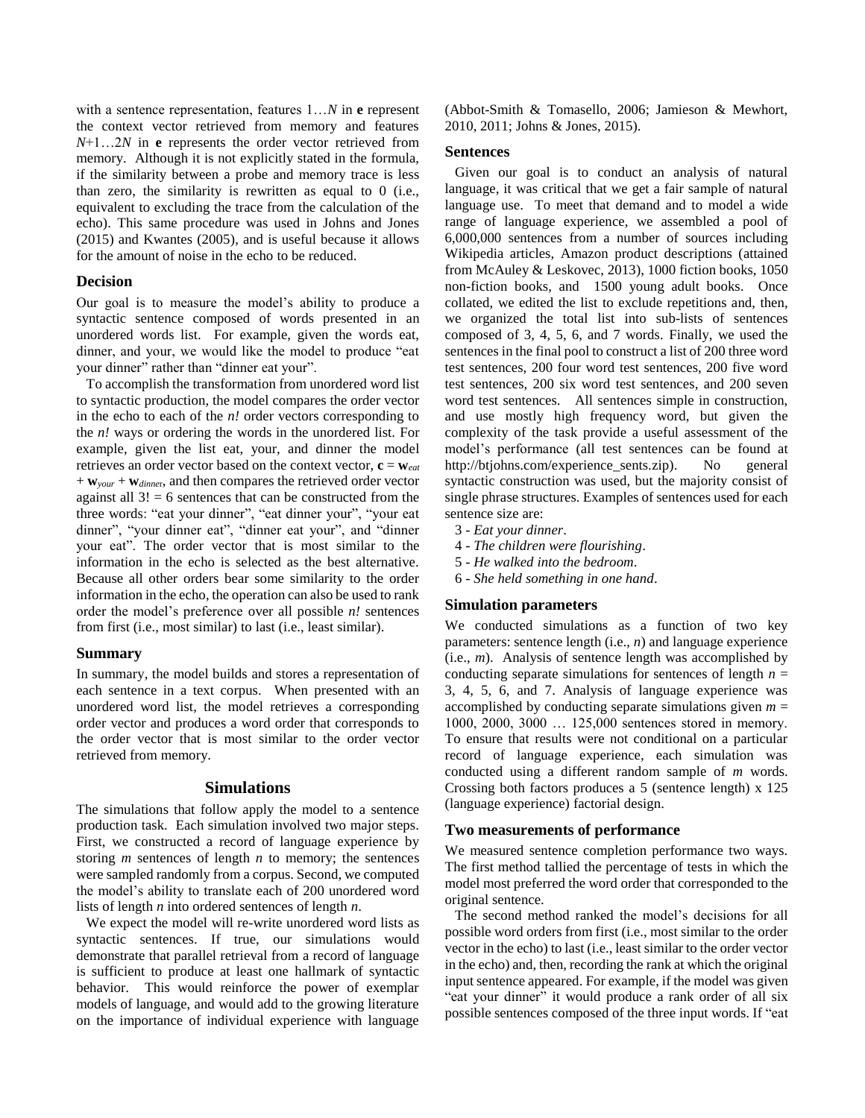with a sentence representation, features 1…*N* in **e** represent the context vector retrieved from memory and features *N*+1…2*N* in **e** represents the order vector retrieved from memory. Although it is not explicitly stated in the formula, if the similarity between a probe and memory trace is less than zero, the similarity is rewritten as equal to 0 (i.e., equivalent to excluding the trace from the calculation of the echo). This same procedure was used in Johns and Jones (2015) and Kwantes (2005), and is useful because it allows for the amount of noise in the echo to be reduced.

## **Decision**

Our goal is to measure the model's ability to produce a syntactic sentence composed of words presented in an unordered words list. For example, given the words eat, dinner, and your, we would like the model to produce "eat your dinner" rather than "dinner eat your".

To accomplish the transformation from unordered word list to syntactic production, the model compares the order vector in the echo to each of the *n!* order vectors corresponding to the *n!* ways or ordering the words in the unordered list. For example, given the list eat, your, and dinner the model retrieves an order vector based on the context vector,  $\mathbf{c} = \mathbf{w}_{\text{eat}}$ + **w***your* + **w***dinne*r, and then compares the retrieved order vector against all  $3! = 6$  sentences that can be constructed from the three words: "eat your dinner", "eat dinner your", "your eat dinner", "your dinner eat", "dinner eat your", and "dinner your eat". The order vector that is most similar to the information in the echo is selected as the best alternative. Because all other orders bear some similarity to the order information in the echo, the operation can also be used to rank order the model's preference over all possible *n!* sentences from first (i.e., most similar) to last (i.e., least similar).

## **Summary**

In summary, the model builds and stores a representation of each sentence in a text corpus. When presented with an unordered word list, the model retrieves a corresponding order vector and produces a word order that corresponds to the order vector that is most similar to the order vector retrieved from memory.

## **Simulations**

The simulations that follow apply the model to a sentence production task. Each simulation involved two major steps. First, we constructed a record of language experience by storing *m* sentences of length *n* to memory; the sentences were sampled randomly from a corpus. Second, we computed the model's ability to translate each of 200 unordered word lists of length *n* into ordered sentences of length *n*.

We expect the model will re-write unordered word lists as syntactic sentences. If true, our simulations would demonstrate that parallel retrieval from a record of language is sufficient to produce at least one hallmark of syntactic behavior. This would reinforce the power of exemplar models of language, and would add to the growing literature on the importance of individual experience with language (Abbot-Smith & Tomasello, 2006; Jamieson & Mewhort, 2010, 2011; Johns & Jones, 2015).

#### **Sentences**

Given our goal is to conduct an analysis of natural language, it was critical that we get a fair sample of natural language use. To meet that demand and to model a wide range of language experience, we assembled a pool of 6,000,000 sentences from a number of sources including Wikipedia articles, Amazon product descriptions (attained from McAuley & Leskovec, 2013), 1000 fiction books, 1050 non-fiction books, and 1500 young adult books. Once collated, we edited the list to exclude repetitions and, then, we organized the total list into sub-lists of sentences composed of 3, 4, 5, 6, and 7 words. Finally, we used the sentences in the final pool to construct a list of 200 three word test sentences, 200 four word test sentences, 200 five word test sentences, 200 six word test sentences, and 200 seven word test sentences. All sentences simple in construction, and use mostly high frequency word, but given the complexity of the task provide a useful assessment of the model's performance (all test sentences can be found at http://btjohns.com/experience\_sents.zip). No general syntactic construction was used, but the majority consist of single phrase structures. Examples of sentences used for each sentence size are:

- 3 *Eat your dinner*.
- 4 *The children were flourishing*.
- 5 *He walked into the bedroom*.
- 6 *She held something in one hand*.

## **Simulation parameters**

We conducted simulations as a function of two key parameters: sentence length (i.e., *n*) and language experience (i.e., *m*). Analysis of sentence length was accomplished by conducting separate simulations for sentences of length  $n =$ 3, 4, 5, 6, and 7. Analysis of language experience was accomplished by conducting separate simulations given  $m =$ 1000, 2000, 3000 … 125,000 sentences stored in memory. To ensure that results were not conditional on a particular record of language experience, each simulation was conducted using a different random sample of *m* words. Crossing both factors produces a 5 (sentence length) x 125 (language experience) factorial design.

### **Two measurements of performance**

We measured sentence completion performance two ways. The first method tallied the percentage of tests in which the model most preferred the word order that corresponded to the original sentence.

The second method ranked the model's decisions for all possible word orders from first (i.e., most similar to the order vector in the echo) to last (i.e., least similar to the order vector in the echo) and, then, recording the rank at which the original input sentence appeared. For example, if the model was given "eat your dinner" it would produce a rank order of all six possible sentences composed of the three input words. If "eat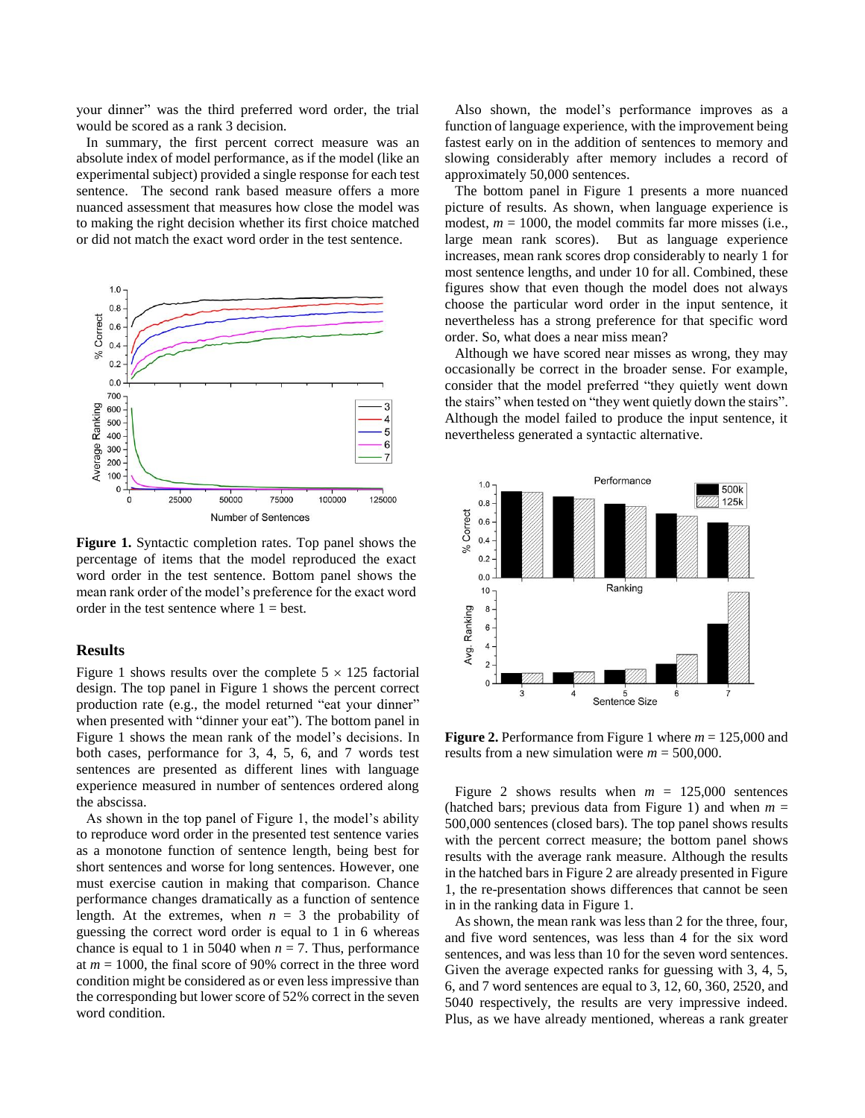your dinner" was the third preferred word order, the trial would be scored as a rank 3 decision.

In summary, the first percent correct measure was an absolute index of model performance, as if the model (like an experimental subject) provided a single response for each test sentence. The second rank based measure offers a more nuanced assessment that measures how close the model was to making the right decision whether its first choice matched or did not match the exact word order in the test sentence.



**Figure 1.** Syntactic completion rates. Top panel shows the percentage of items that the model reproduced the exact word order in the test sentence. Bottom panel shows the mean rank order of the model's preference for the exact word order in the test sentence where  $1 = best$ .

# **Results**

Figure 1 shows results over the complete  $5 \times 125$  factorial design. The top panel in Figure 1 shows the percent correct production rate (e.g., the model returned "eat your dinner" when presented with "dinner your eat"). The bottom panel in Figure 1 shows the mean rank of the model's decisions. In both cases, performance for 3, 4, 5, 6, and 7 words test sentences are presented as different lines with language experience measured in number of sentences ordered along the abscissa.

As shown in the top panel of Figure 1, the model's ability to reproduce word order in the presented test sentence varies as a monotone function of sentence length, being best for short sentences and worse for long sentences. However, one must exercise caution in making that comparison. Chance performance changes dramatically as a function of sentence length. At the extremes, when  $n = 3$  the probability of guessing the correct word order is equal to 1 in 6 whereas chance is equal to 1 in 5040 when  $n = 7$ . Thus, performance at *m* = 1000, the final score of 90% correct in the three word condition might be considered as or even less impressive than the corresponding but lower score of 52% correct in the seven word condition.

Also shown, the model's performance improves as a function of language experience, with the improvement being fastest early on in the addition of sentences to memory and slowing considerably after memory includes a record of approximately 50,000 sentences.

The bottom panel in Figure 1 presents a more nuanced picture of results. As shown, when language experience is modest,  $m = 1000$ , the model commits far more misses (i.e., large mean rank scores). But as language experience increases, mean rank scores drop considerably to nearly 1 for most sentence lengths, and under 10 for all. Combined, these figures show that even though the model does not always choose the particular word order in the input sentence, it nevertheless has a strong preference for that specific word order. So, what does a near miss mean?

Although we have scored near misses as wrong, they may occasionally be correct in the broader sense. For example, consider that the model preferred "they quietly went down the stairs" when tested on "they went quietly down the stairs". Although the model failed to produce the input sentence, it nevertheless generated a syntactic alternative.



**Figure 2.** Performance from Figure 1 where *m* = 125,000 and results from a new simulation were *m* = 500,000.

Figure 2 shows results when  $m = 125,000$  sentences (hatched bars; previous data from Figure 1) and when  $m =$ 500,000 sentences (closed bars). The top panel shows results with the percent correct measure; the bottom panel shows results with the average rank measure. Although the results in the hatched bars in Figure 2 are already presented in Figure 1, the re-presentation shows differences that cannot be seen in in the ranking data in Figure 1.

As shown, the mean rank was less than 2 for the three, four, and five word sentences, was less than 4 for the six word sentences, and was less than 10 for the seven word sentences. Given the average expected ranks for guessing with 3, 4, 5, 6, and 7 word sentences are equal to 3, 12, 60, 360, 2520, and 5040 respectively, the results are very impressive indeed. Plus, as we have already mentioned, whereas a rank greater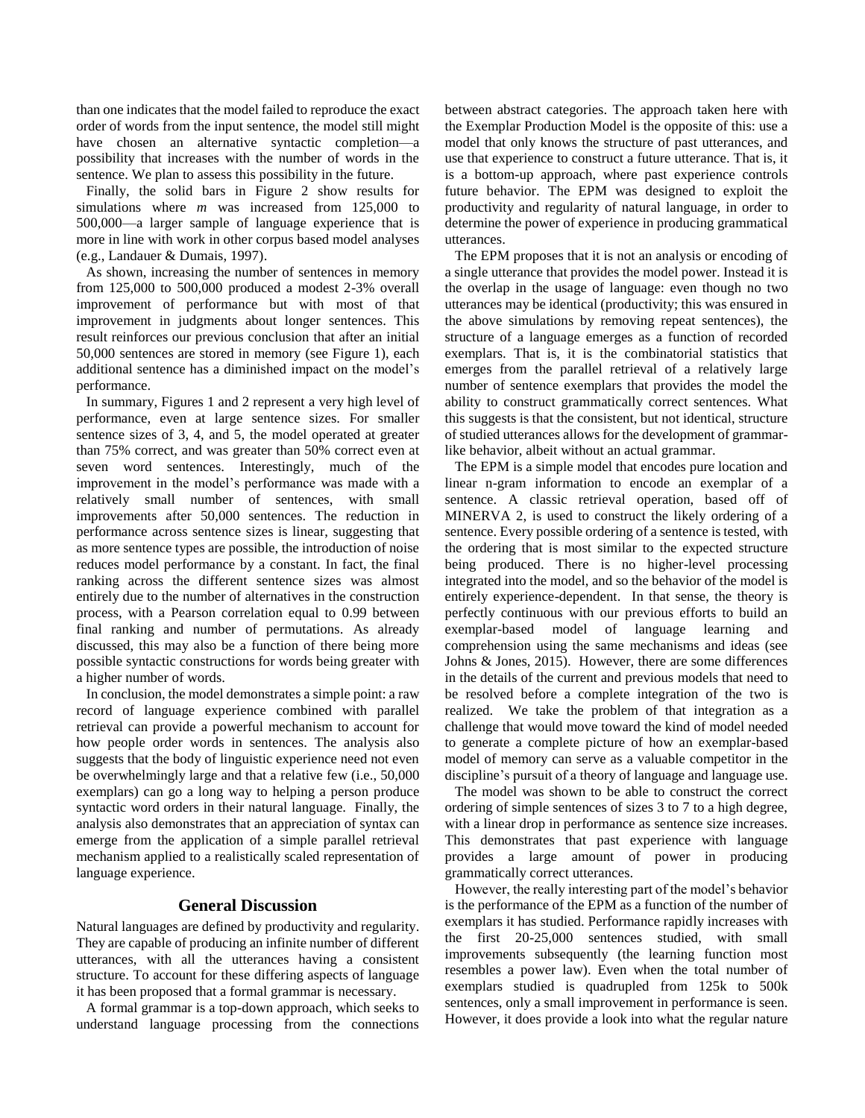than one indicates that the model failed to reproduce the exact order of words from the input sentence, the model still might have chosen an alternative syntactic completion—a possibility that increases with the number of words in the sentence. We plan to assess this possibility in the future.

Finally, the solid bars in Figure 2 show results for simulations where *m* was increased from 125,000 to 500,000—a larger sample of language experience that is more in line with work in other corpus based model analyses (e.g., Landauer & Dumais, 1997).

As shown, increasing the number of sentences in memory from 125,000 to 500,000 produced a modest 2-3% overall improvement of performance but with most of that improvement in judgments about longer sentences. This result reinforces our previous conclusion that after an initial 50,000 sentences are stored in memory (see Figure 1), each additional sentence has a diminished impact on the model's performance.

In summary, Figures 1 and 2 represent a very high level of performance, even at large sentence sizes. For smaller sentence sizes of 3, 4, and 5, the model operated at greater than 75% correct, and was greater than 50% correct even at seven word sentences. Interestingly, much of the improvement in the model's performance was made with a relatively small number of sentences, with small improvements after 50,000 sentences. The reduction in performance across sentence sizes is linear, suggesting that as more sentence types are possible, the introduction of noise reduces model performance by a constant. In fact, the final ranking across the different sentence sizes was almost entirely due to the number of alternatives in the construction process, with a Pearson correlation equal to 0.99 between final ranking and number of permutations. As already discussed, this may also be a function of there being more possible syntactic constructions for words being greater with a higher number of words.

In conclusion, the model demonstrates a simple point: a raw record of language experience combined with parallel retrieval can provide a powerful mechanism to account for how people order words in sentences. The analysis also suggests that the body of linguistic experience need not even be overwhelmingly large and that a relative few (i.e., 50,000 exemplars) can go a long way to helping a person produce syntactic word orders in their natural language. Finally, the analysis also demonstrates that an appreciation of syntax can emerge from the application of a simple parallel retrieval mechanism applied to a realistically scaled representation of language experience.

# **General Discussion**

Natural languages are defined by productivity and regularity. They are capable of producing an infinite number of different utterances, with all the utterances having a consistent structure. To account for these differing aspects of language it has been proposed that a formal grammar is necessary.

A formal grammar is a top-down approach, which seeks to understand language processing from the connections between abstract categories. The approach taken here with the Exemplar Production Model is the opposite of this: use a model that only knows the structure of past utterances, and use that experience to construct a future utterance. That is, it is a bottom-up approach, where past experience controls future behavior. The EPM was designed to exploit the productivity and regularity of natural language, in order to determine the power of experience in producing grammatical utterances.

The EPM proposes that it is not an analysis or encoding of a single utterance that provides the model power. Instead it is the overlap in the usage of language: even though no two utterances may be identical (productivity; this was ensured in the above simulations by removing repeat sentences), the structure of a language emerges as a function of recorded exemplars. That is, it is the combinatorial statistics that emerges from the parallel retrieval of a relatively large number of sentence exemplars that provides the model the ability to construct grammatically correct sentences. What this suggests is that the consistent, but not identical, structure of studied utterances allows for the development of grammarlike behavior, albeit without an actual grammar.

The EPM is a simple model that encodes pure location and linear n-gram information to encode an exemplar of a sentence. A classic retrieval operation, based off of MINERVA 2, is used to construct the likely ordering of a sentence. Every possible ordering of a sentence is tested, with the ordering that is most similar to the expected structure being produced. There is no higher-level processing integrated into the model, and so the behavior of the model is entirely experience-dependent. In that sense, the theory is perfectly continuous with our previous efforts to build an exemplar-based model of language learning and comprehension using the same mechanisms and ideas (see Johns & Jones, 2015). However, there are some differences in the details of the current and previous models that need to be resolved before a complete integration of the two is realized. We take the problem of that integration as a challenge that would move toward the kind of model needed to generate a complete picture of how an exemplar-based model of memory can serve as a valuable competitor in the discipline's pursuit of a theory of language and language use.

The model was shown to be able to construct the correct ordering of simple sentences of sizes 3 to 7 to a high degree, with a linear drop in performance as sentence size increases. This demonstrates that past experience with language provides a large amount of power in producing grammatically correct utterances.

However, the really interesting part of the model's behavior is the performance of the EPM as a function of the number of exemplars it has studied. Performance rapidly increases with the first 20-25,000 sentences studied, with small improvements subsequently (the learning function most resembles a power law). Even when the total number of exemplars studied is quadrupled from 125k to 500k sentences, only a small improvement in performance is seen. However, it does provide a look into what the regular nature